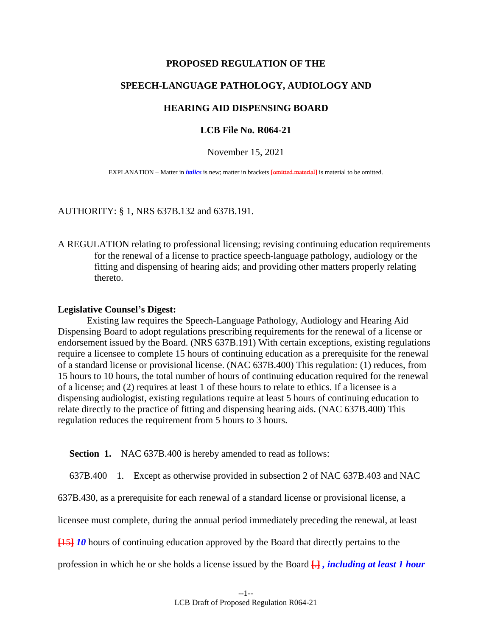### **PROPOSED REGULATION OF THE**

# **SPEECH-LANGUAGE PATHOLOGY, AUDIOLOGY AND**

## **HEARING AID DISPENSING BOARD**

### **LCB File No. R064-21**

### November 15, 2021

EXPLANATION – Matter in *italics* is new; matter in brackets **[**omitted material**]** is material to be omitted.

### AUTHORITY: § 1, NRS 637B.132 and 637B.191.

A REGULATION relating to professional licensing; revising continuing education requirements for the renewal of a license to practice speech-language pathology, audiology or the fitting and dispensing of hearing aids; and providing other matters properly relating thereto.

### **Legislative Counsel's Digest:**

Existing law requires the Speech-Language Pathology, Audiology and Hearing Aid Dispensing Board to adopt regulations prescribing requirements for the renewal of a license or endorsement issued by the Board. (NRS 637B.191) With certain exceptions, existing regulations require a licensee to complete 15 hours of continuing education as a prerequisite for the renewal of a standard license or provisional license. (NAC 637B.400) This regulation: (1) reduces, from 15 hours to 10 hours, the total number of hours of continuing education required for the renewal of a license; and (2) requires at least 1 of these hours to relate to ethics. If a licensee is a dispensing audiologist, existing regulations require at least 5 hours of continuing education to relate directly to the practice of fitting and dispensing hearing aids. (NAC 637B.400) This regulation reduces the requirement from 5 hours to 3 hours.

**Section 1.** NAC 637B.400 is hereby amended to read as follows:

637B.400 1. Except as otherwise provided in subsection 2 of NAC 637B.403 and NAC

637B.430, as a prerequisite for each renewal of a standard license or provisional license, a

licensee must complete, during the annual period immediately preceding the renewal, at least

**[**15**]** *10* hours of continuing education approved by the Board that directly pertains to the

profession in which he or she holds a license issued by the Board **[**.**]** *, including at least 1 hour*